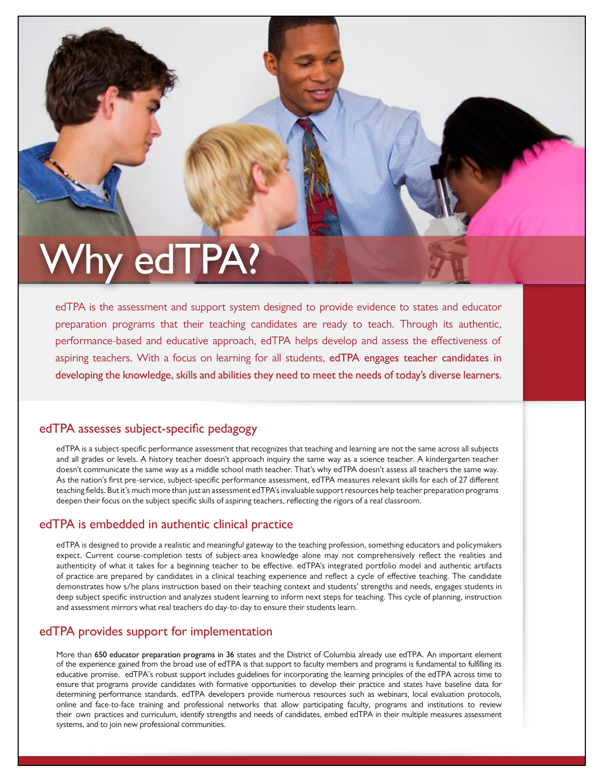# **Why edTPA?**

edTPA is the assessment and support system designed to provide evidence to states and educator preparation programs that their teaching candidates are ready to teach. Through its authentic, performance-based and educative approach, edTPA helps develop and assess the effectiveness of aspiring teachers. With a focus on learning for all students, **edTPA engages teacher candidates in developing the knowledge, skills and abilities they need to meet the needs of today's diverse learners.**

# **edTPA assesses subject-specific pedagogy**

edTPA is a subject-specific performance assessment that recognizes that teaching and learning are not the same across all subjects and all grades or levels. A history teacher doesn't approach inquiry the same way as a science teacher. A kindergarten teacher doesn't communicate the same way as a middle school math teacher. That's why edTPA doesn't assess all teachers the same way. As the nation's first pre-service, subject-specific performance assessment, edTPA measures relevant skills for each of 27 different teaching fields. But it's much more than just an assessment edTPA's invaluable support resources help teacher preparation programs deepen their focus on the subject specific skills of aspiring teachers, reflecting the rigors of a real classroom.

# **edTPA is embedded in authentic clinical practice**

edTPA is designed to provide a realistic and meaningful gateway to the teaching profession, something educators and policymakers expect. Current course-completion tests of subject-area knowledge alone may not comprehensively reflect the realities and authenticity of what it takes for a beginning teacher to be effective. edTPA's integrated portfolio model and authentic artifacts of practice are prepared by candidates in a clinical teaching experience and reflect a cycle of effective teaching. The candidate demonstrates how s/he plans instruction based on their teaching context and students' strengths and needs, engages students in deep subject specific instruction and analyzes student learning to inform next steps for teaching. This cycle of planning, instruction and assessment mirrors what real teachers do day-to-day to ensure their students learn.

# **edTPA provides support for implementation**

More than 650 educator preparation programs in 36 states and the District of Columbia already use edTPA. An important element of the experience gained from the broad use of edTPA is that support to faculty members and programs is fundamental to fulfilling its educative promise. edTPA's robust support includes guidelines for incorporating the learning principles of the edTPA across time to ensure that programs provide candidates with formative opportunities to develop their practice and states have baseline data for determining performance standards. edTPA developers provide numerous resources such as webinars, local evaluation protocols, online and face-to-face training and professional networks that allow participating faculty, programs and institutions to review their own practices and curriculum, identify strengths and needs of candidates, embed edTPA in their multiple measures assessment systems, and to join new professional communities.